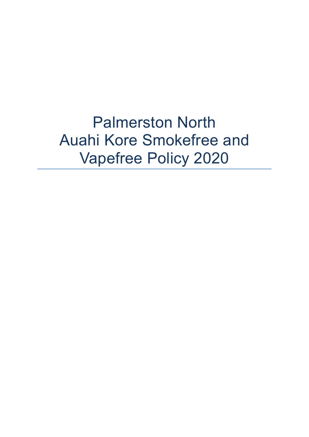Palmerston North Auahi Kore Smokefree and Vapefree Policy 2020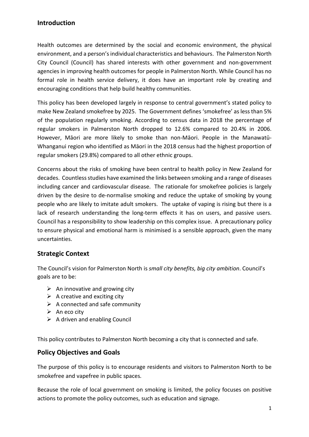## **Introduction**

Health outcomes are determined by the social and economic environment, the physical environment, and a person's individual characteristics and behaviours. The Palmerston North City Council (Council) has shared interests with other government and non-government agencies in improving health outcomes for people in Palmerston North. While Council has no formal role in health service delivery, it does have an important role by creating and encouraging conditions that help build healthy communities.

This policy has been developed largely in response to central government's stated policy to make New Zealand smokefree by 2025. The Government defines 'smokefree' as less than 5% of the population regularly smoking. According to census data in 2018 the percentage of regular smokers in Palmerston North dropped to 12.6% compared to 20.4% in 2006. However, Māori are more likely to smoke than non-Māori. People in the Manawatū-Whanganui region who identified as Māori in the 2018 census had the highest proportion of regular smokers (29.8%) compared to all other ethnic groups.

Concerns about the risks of smoking have been central to health policy in New Zealand for decades. Countless studies have examined the links between smoking and a range of diseases including cancer and cardiovascular disease. The rationale for smokefree policies is largely driven by the desire to de-normalise smoking and reduce the uptake of smoking by young people who are likely to imitate adult smokers. The uptake of vaping is rising but there is a lack of research understanding the long-term effects it has on users, and passive users. Council has a responsibility to show leadership on this complex issue. A precautionary policy to ensure physical and emotional harm is minimised is a sensible approach, given the many uncertainties.

### **Strategic Context**

The Council's vision for Palmerston North is *small city benefits, big city ambition*. Council's goals are to be:

- $\triangleright$  An innovative and growing city
- $\triangleright$  A creative and exciting city
- $\triangleright$  A connected and safe community
- $\triangleright$  An eco city
- $\triangleright$  A driven and enabling Council

This policy contributes to Palmerston North becoming a city that is connected and safe.

### **Policy Objectives and Goals**

The purpose of this policy is to encourage residents and visitors to Palmerston North to be smokefree and vapefree in public spaces*.*

Because the role of local government on smoking is limited, the policy focuses on positive actions to promote the policy outcomes, such as education and signage.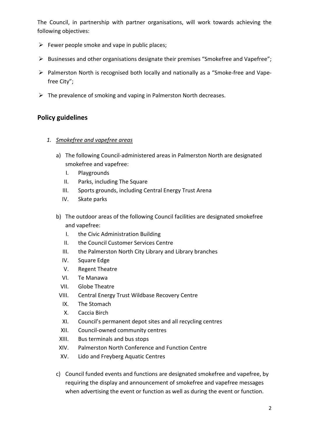The Council, in partnership with partner organisations, will work towards achieving the following objectives:

- $\triangleright$  Fewer people smoke and vape in public places;
- $\triangleright$  Businesses and other organisations designate their premises "Smokefree and Vapefree";
- $\triangleright$  Palmerston North is recognised both locally and nationally as a "Smoke-free and Vapefree City";
- $\triangleright$  The prevalence of smoking and vaping in Palmerston North decreases.

## **Policy guidelines**

- *1. Smokefree and vapefree areas*
	- a) The following Council-administered areas in Palmerston North are designated smokefree and vapefree:
		- I. Playgrounds
		- II. Parks, including The Square
		- III. Sports grounds, including Central Energy Trust Arena
		- IV. Skate parks
	- b) The outdoor areas of the following Council facilities are designated smokefree and vapefree:
		- I. the Civic Administration Building
		- II. the Council Customer Services Centre
		- III. the Palmerston North City Library and Library branches
		- IV. Square Edge
		- V. Regent Theatre
		- VI. Te Manawa
		- VII. Globe Theatre
		- VIII. Central Energy Trust Wildbase Recovery Centre
		- IX. The Stomach
		- X. Caccia Birch
		- XI. Council's permanent depot sites and all recycling centres
		- XII. Council-owned community centres
		- XIII. Bus terminals and bus stops
		- XIV. Palmerston North Conference and Function Centre
		- XV. Lido and Freyberg Aquatic Centres
	- c) Council funded events and functions are designated smokefree and vapefree, by requiring the display and announcement of smokefree and vapefree messages when advertising the event or function as well as during the event or function.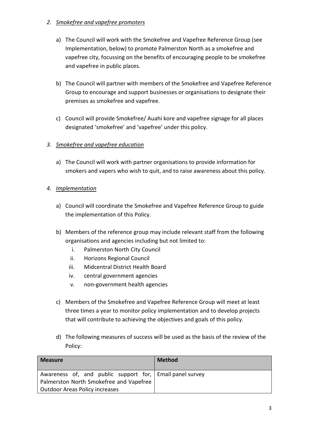### *2. Smokefree and vapefree promoters*

- a) The Council will work with the Smokefree and Vapefree Reference Group (see Implementation, below) to promote Palmerston North as a smokefree and vapefree city, focussing on the benefits of encouraging people to be smokefree and vapefree in public places.
- b) The Council will partner with members of the Smokefree and Vapefree Reference Group to encourage and support businesses or organisations to designate their premises as smokefree and vapefree.
- c) Council will provide Smokefree/ Auahi kore and vapefree signage for all places designated 'smokefree' and 'vapefree' under this policy.

## *3. Smokefree and vapefree education*

- a) The Council will work with partner organisations to provide information for smokers and vapers who wish to quit, and to raise awareness about this policy.
- *4. Implementation*
	- a) Council will coordinate the Smokefree and Vapefree Reference Group to guide the implementation of this Policy.
	- b) Members of the reference group may include relevant staff from the following organisations and agencies including but not limited to:
		- i. Palmerston North City Council
		- ii. Horizons Regional Council
		- iii. Midcentral District Health Board
		- iv. central government agencies
		- v. non-government health agencies
	- c) Members of the Smokefree and Vapefree Reference Group will meet at least three times a year to monitor policy implementation and to develop projects that will contribute to achieving the objectives and goals of this policy.
	- d) The following measures of success will be used as the basis of the review of the Policy:

| <b>Measure</b>                                                                                                                        | <b>Method</b> |
|---------------------------------------------------------------------------------------------------------------------------------------|---------------|
| Awareness of, and public support for, Email panel survey<br>Palmerston North Smokefree and Vapefree<br>Outdoor Areas Policy increases |               |